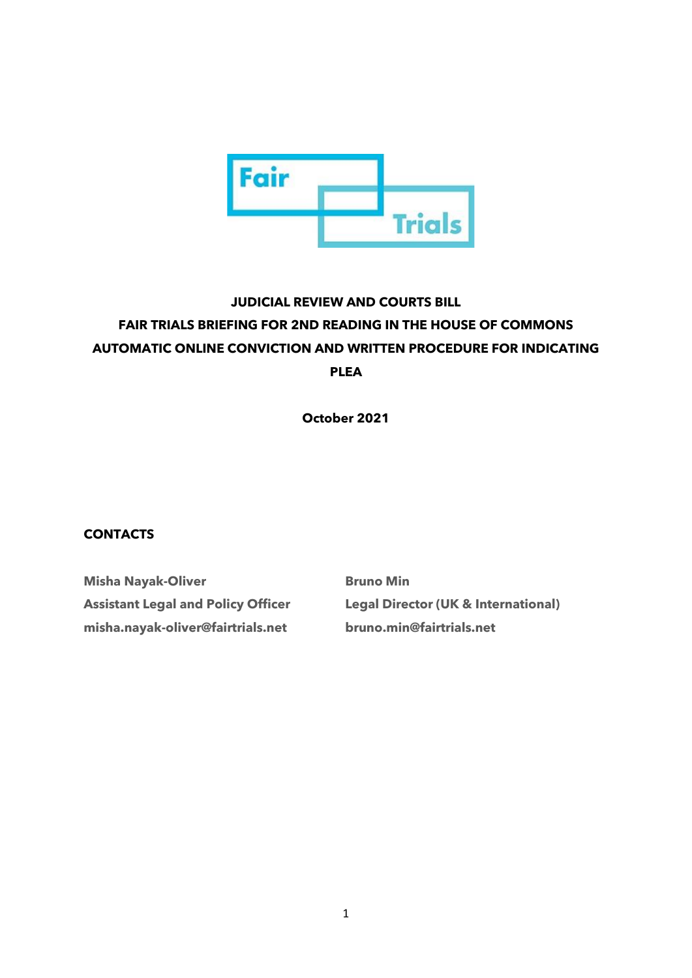

# **JUDICIAL REVIEW AND COURTS BILL FAIR TRIALS BRIEFING FOR 2ND READING IN THE HOUSE OF COMMONS AUTOMATIC ONLINE CONVICTION AND WRITTEN PROCEDURE FOR INDICATING PLEA**

**October 2021**

# **CONTACTS**

**Misha Nayak-Oliver Assistant Legal and Policy Officer misha.nayak-oliver@fairtrials.net**

**Bruno Min Legal Director (UK & International) bruno.min@fairtrials.net**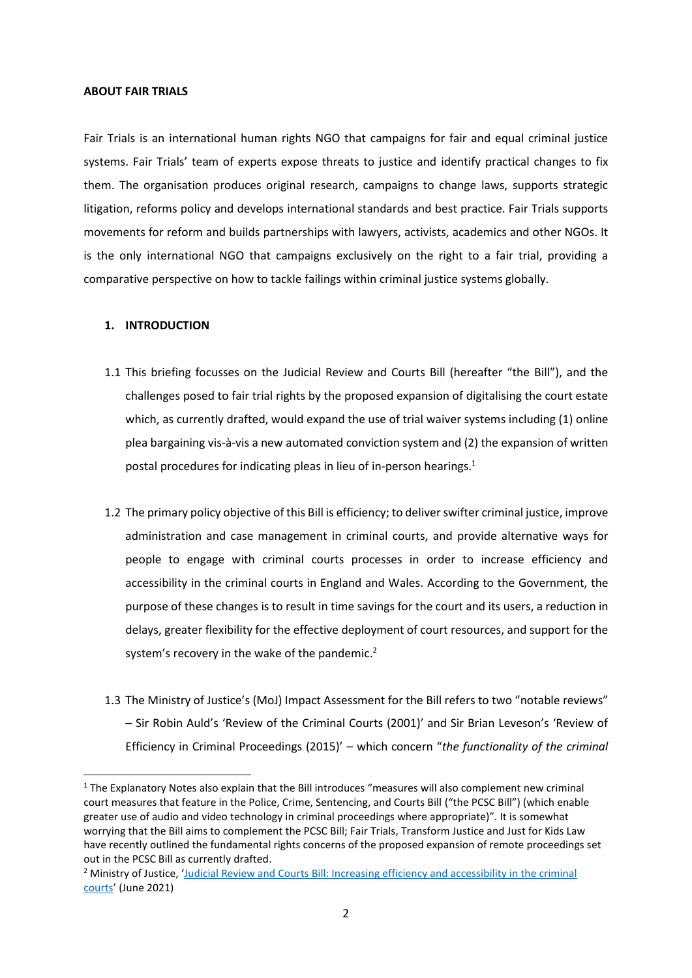#### **ABOUT FAIR TRIALS**

Fair Trials is an international human rights NGO that campaigns for fair and equal criminal justice systems. Fair Trials' team of experts expose threats to justice and identify practical changes to fix them. The organisation produces original research, campaigns to change laws, supports strategic litigation, reforms policy and develops international standards and best practice. Fair Trials supports movements for reform and builds partnerships with lawyers, activists, academics and other NGOs. It is the only international NGO that campaigns exclusively on the right to a fair trial, providing a comparative perspective on how to tackle failings within criminal justice systems globally.

#### **1. INTRODUCTION**

- 1.1 This briefing focusses on the Judicial Review and Courts Bill (hereafter "the Bill"), and the challenges posed to fair trial rights by the proposed expansion of digitalising the court estate which, as currently drafted, would expand the use of trial waiver systems including (1) online plea bargaining vis-à-vis a new automated conviction system and (2) the expansion of written postal procedures for indicating pleas in lieu of in-person hearings. $1$
- 1.2 The primary policy objective of this Bill is efficiency; to deliver swifter criminal justice, improve administration and case management in criminal courts, and provide alternative ways for people to engage with criminal courts processes in order to increase efficiency and accessibility in the criminal courts in England and Wales. According to the Government, the purpose of these changes is to result in time savings for the court and its users, a reduction in delays, greater flexibility for the effective deployment of court resources, and support for the system's recovery in the wake of the pandemic.<sup>2</sup>
- 1.3 The Ministry of Justice's (MoJ) Impact Assessment for the Bill refers to two "notable reviews" – Sir Robin Auld's 'Review of the Criminal Courts (2001)' and Sir Brian Leveson's 'Review of Efficiency in Criminal Proceedings (2015)' – which concern "*the functionality of the criminal*

 $1$  The Explanatory Notes also explain that the Bill introduces "measures will also complement new criminal court measures that feature in the Police, Crime, Sentencing, and Courts Bill ("the PCSC Bill") (which enable greater use of audio and video technology in criminal proceedings where appropriate)". It is somewhat worrying that the Bill aims to complement the PCSC Bill; Fair Trials, Transform Justice and Just for Kids Law have recently outlined the fundamental rights concerns of the proposed expansion of remote proceedings set out in the PCSC Bill as currently drafted.

<sup>&</sup>lt;sup>2</sup> Ministry of Justice, 'Judicial Review and Courts Bill: Increasing efficiency and accessibility in the criminal [courts](https://publications.parliament.uk/pa/bills/cbill/58-02/0152/CriminalmeasuresImpactAssessmentsigned.pdf)' (June 2021)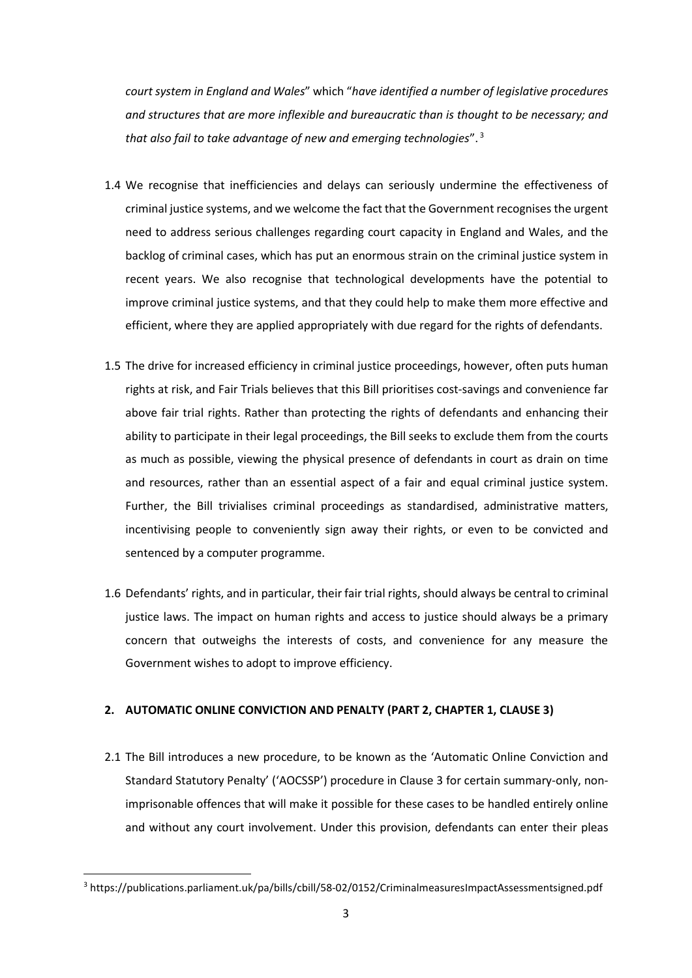*court system in England and Wales*" which "*have identified a number of legislative procedures and structures that are more inflexible and bureaucratic than is thought to be necessary; and that also fail to take advantage of new and emerging technologies*". <sup>3</sup>

- 1.4 We recognise that inefficiencies and delays can seriously undermine the effectiveness of criminal justice systems, and we welcome the fact that the Government recognises the urgent need to address serious challenges regarding court capacity in England and Wales, and the backlog of criminal cases, which has put an enormous strain on the criminal justice system in recent years. We also recognise that technological developments have the potential to improve criminal justice systems, and that they could help to make them more effective and efficient, where they are applied appropriately with due regard for the rights of defendants.
- 1.5 The drive for increased efficiency in criminal justice proceedings, however, often puts human rights at risk, and Fair Trials believes that this Bill prioritises cost-savings and convenience far above fair trial rights. Rather than protecting the rights of defendants and enhancing their ability to participate in their legal proceedings, the Bill seeks to exclude them from the courts as much as possible, viewing the physical presence of defendants in court as drain on time and resources, rather than an essential aspect of a fair and equal criminal justice system. Further, the Bill trivialises criminal proceedings as standardised, administrative matters, incentivising people to conveniently sign away their rights, or even to be convicted and sentenced by a computer programme.
- 1.6 Defendants' rights, and in particular, their fair trial rights, should always be central to criminal justice laws. The impact on human rights and access to justice should always be a primary concern that outweighs the interests of costs, and convenience for any measure the Government wishes to adopt to improve efficiency.

## **2. AUTOMATIC ONLINE CONVICTION AND PENALTY (PART 2, CHAPTER 1, CLAUSE 3)**

2.1 The Bill introduces a new procedure, to be known as the 'Automatic Online Conviction and Standard Statutory Penalty' ('AOCSSP') procedure in Clause 3 for certain summary-only, nonimprisonable offences that will make it possible for these cases to be handled entirely online and without any court involvement. Under this provision, defendants can enter their pleas

<sup>3</sup> https://publications.parliament.uk/pa/bills/cbill/58-02/0152/CriminalmeasuresImpactAssessmentsigned.pdf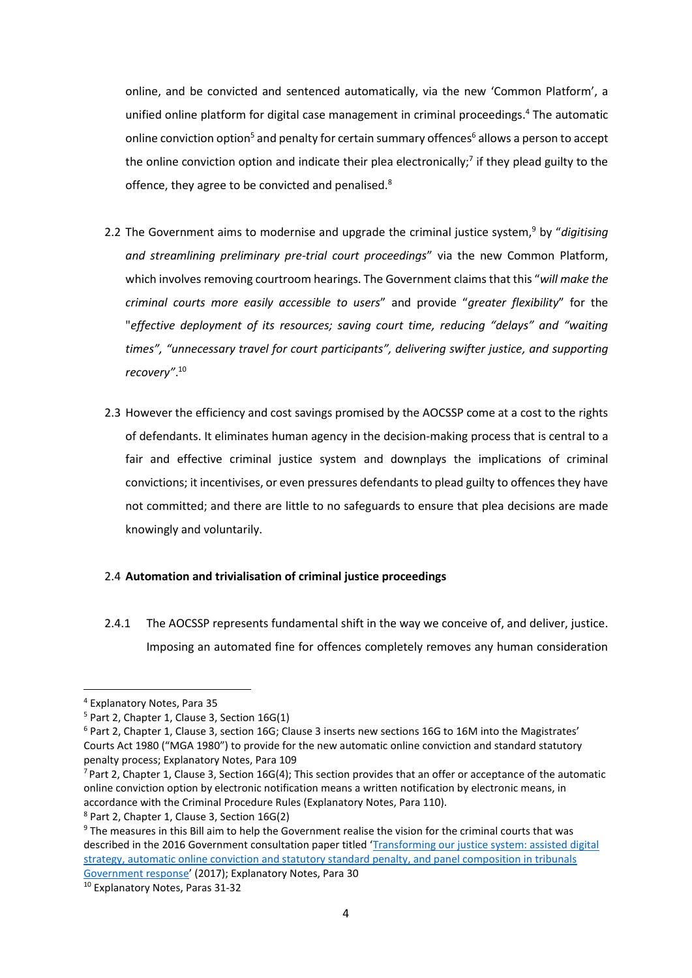online, and be convicted and sentenced automatically, via the new 'Common Platform', a unified online platform for digital case management in criminal proceedings. <sup>4</sup> The automatic online conviction option<sup>5</sup> and penalty for certain summary offences<sup>6</sup> allows a person to accept the online conviction option and indicate their plea electronically;<sup>7</sup> if they plead guilty to the offence, they agree to be convicted and penalised.<sup>8</sup>

- 2.2 The Government aims to modernise and upgrade the criminal justice system,<sup>9</sup> by "*digitising and streamlining preliminary pre-trial court proceedings*" via the new Common Platform, which involves removing courtroom hearings. The Government claims that this "*will make the criminal courts more easily accessible to users*" and provide "*greater flexibility*" for the "*effective deployment of its resources; saving court time, reducing "delays" and "waiting times", "unnecessary travel for court participants", delivering swifter justice, and supporting recovery"*. 10
- 2.3 However the efficiency and cost savings promised by the AOCSSP come at a cost to the rights of defendants. It eliminates human agency in the decision-making process that is central to a fair and effective criminal justice system and downplays the implications of criminal convictions; it incentivises, or even pressures defendants to plead guilty to offences they have not committed; and there are little to no safeguards to ensure that plea decisions are made knowingly and voluntarily.

## 2.4 **Automation and trivialisation of criminal justice proceedings**

2.4.1 The AOCSSP represents fundamental shift in the way we conceive of, and deliver, justice. Imposing an automated fine for offences completely removes any human consideration

<sup>4</sup> Explanatory Notes, Para 35

<sup>5</sup> Part 2, Chapter 1, Clause 3, Section 16G(1)

<sup>&</sup>lt;sup>6</sup> Part 2, Chapter 1, Clause 3, section 16G; Clause 3 inserts new sections 16G to 16M into the Magistrates' Courts Act 1980 ("MGA 1980") to provide for the new automatic online conviction and standard statutory penalty process; Explanatory Notes, Para 109

 $<sup>7</sup>$  Part 2, Chapter 1, Clause 3, Section 16G(4); This section provides that an offer or acceptance of the automatic</sup> online conviction option by electronic notification means a written notification by electronic means, in accordance with the Criminal Procedure Rules (Explanatory Notes, Para 110).

<sup>8</sup> Part 2, Chapter 1, Clause 3, Section 16G(2)

<sup>9</sup> The measures in this Bill aim to help the Government realise the vision for the criminal courts that was described in the 2016 Government consultation paper titled '[Transforming our justice system: assisted digital](https://assets.publishing.service.gov.uk/government/uploads/system/uploads/attachment_data/file/590391/transforming-our-justice-system-government-response.pdf)  [strategy, automatic online conviction and statutory standard penalty, and panel composition in tribunals](https://assets.publishing.service.gov.uk/government/uploads/system/uploads/attachment_data/file/590391/transforming-our-justice-system-government-response.pdf)  [Government response](https://assets.publishing.service.gov.uk/government/uploads/system/uploads/attachment_data/file/590391/transforming-our-justice-system-government-response.pdf)' (2017); Explanatory Notes, Para 30

<sup>10</sup> Explanatory Notes, Paras 31-32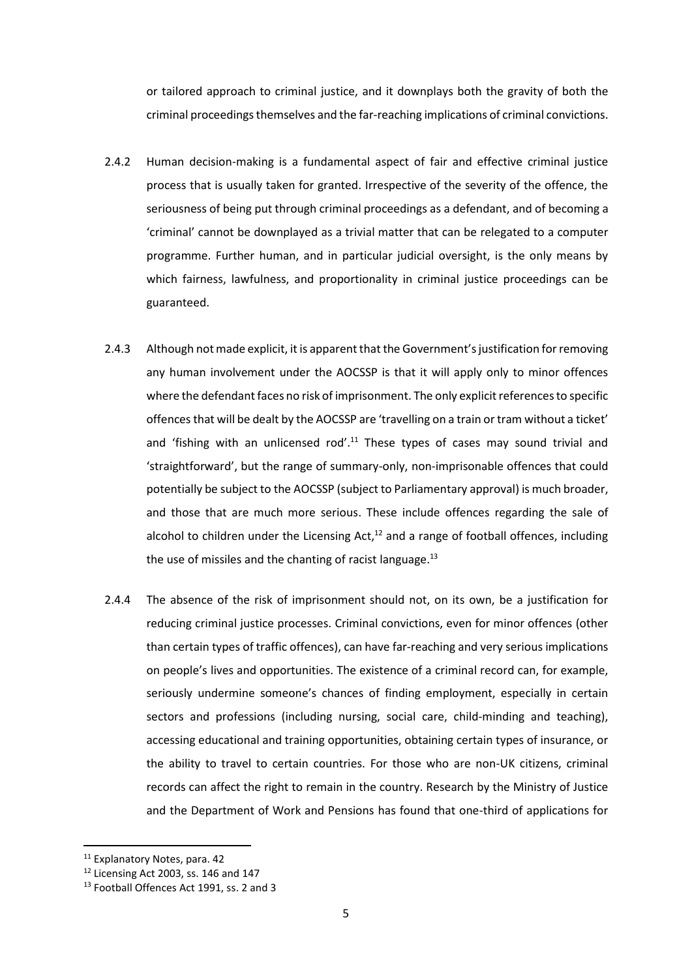or tailored approach to criminal justice, and it downplays both the gravity of both the criminal proceedings themselves and the far-reaching implications of criminal convictions.

- 2.4.2 Human decision-making is a fundamental aspect of fair and effective criminal justice process that is usually taken for granted. Irrespective of the severity of the offence, the seriousness of being put through criminal proceedings as a defendant, and of becoming a 'criminal' cannot be downplayed as a trivial matter that can be relegated to a computer programme. Further human, and in particular judicial oversight, is the only means by which fairness, lawfulness, and proportionality in criminal justice proceedings can be guaranteed.
- 2.4.3 Although not made explicit, it is apparent that the Government's justification for removing any human involvement under the AOCSSP is that it will apply only to minor offences where the defendant faces no risk of imprisonment. The only explicit references to specific offences that will be dealt by the AOCSSP are 'travelling on a train or tram without a ticket' and 'fishing with an unlicensed rod'.<sup>11</sup> These types of cases may sound trivial and 'straightforward', but the range of summary-only, non-imprisonable offences that could potentially be subject to the AOCSSP (subject to Parliamentary approval) is much broader, and those that are much more serious. These include offences regarding the sale of alcohol to children under the Licensing Act, $12$  and a range of football offences, including the use of missiles and the chanting of racist language. $^{13}$
- 2.4.4 The absence of the risk of imprisonment should not, on its own, be a justification for reducing criminal justice processes. Criminal convictions, even for minor offences (other than certain types of traffic offences), can have far-reaching and very serious implications on people's lives and opportunities. The existence of a criminal record can, for example, seriously undermine someone's chances of finding employment, especially in certain sectors and professions (including nursing, social care, child-minding and teaching), accessing educational and training opportunities, obtaining certain types of insurance, or the ability to travel to certain countries. For those who are non-UK citizens, criminal records can affect the right to remain in the country. Research by the Ministry of Justice and the Department of Work and Pensions has found that one-third of applications for

<sup>&</sup>lt;sup>11</sup> Explanatory Notes, para. 42

<sup>12</sup> Licensing Act 2003, ss. 146 and 147

<sup>&</sup>lt;sup>13</sup> Football Offences Act 1991, ss. 2 and 3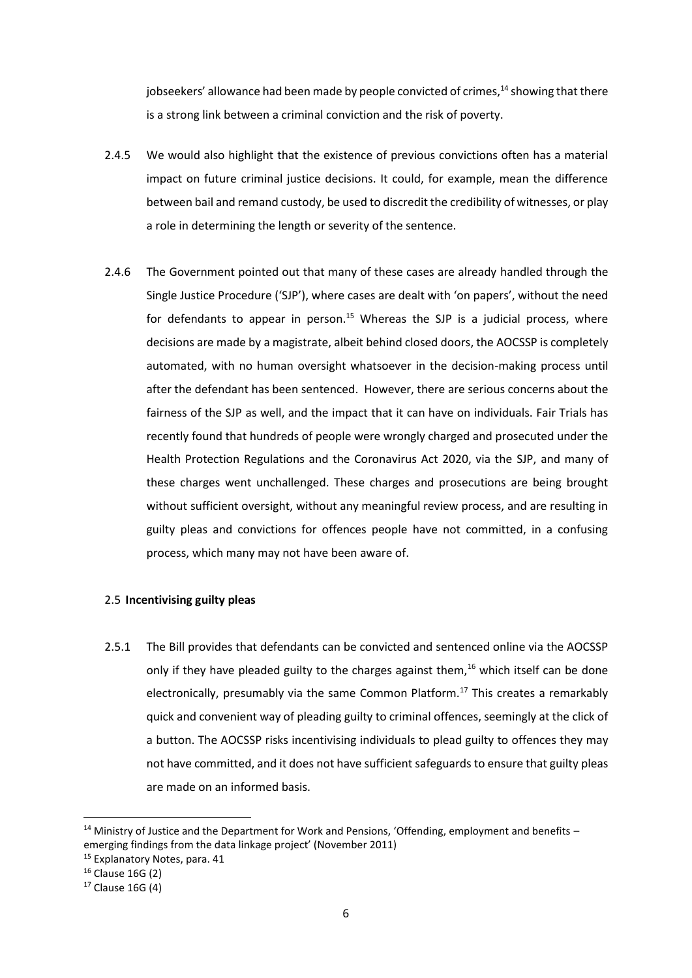jobseekers' allowance had been made by people convicted of crimes, $^{14}$  showing that there is a strong link between a criminal conviction and the risk of poverty.

- 2.4.5 We would also highlight that the existence of previous convictions often has a material impact on future criminal justice decisions. It could, for example, mean the difference between bail and remand custody, be used to discredit the credibility of witnesses, or play a role in determining the length or severity of the sentence.
- 2.4.6 The Government pointed out that many of these cases are already handled through the Single Justice Procedure ('SJP'), where cases are dealt with 'on papers', without the need for defendants to appear in person.<sup>15</sup> Whereas the SJP is a judicial process, where decisions are made by a magistrate, albeit behind closed doors, the AOCSSP is completely automated, with no human oversight whatsoever in the decision-making process until after the defendant has been sentenced. However, there are serious concerns about the fairness of the SJP as well, and the impact that it can have on individuals. Fair Trials has recently found that hundreds of people were wrongly charged and prosecuted under the Health Protection Regulations and the Coronavirus Act 2020, via the SJP, and many of these charges went unchallenged. These charges and prosecutions are being brought without sufficient oversight, without any meaningful review process, and are resulting in guilty pleas and convictions for offences people have not committed, in a confusing process, which many may not have been aware of.

## 2.5 **Incentivising guilty pleas**

2.5.1 The Bill provides that defendants can be convicted and sentenced online via the AOCSSP only if they have pleaded guilty to the charges against them, $16$  which itself can be done electronically, presumably via the same Common Platform.<sup>17</sup> This creates a remarkably quick and convenient way of pleading guilty to criminal offences, seemingly at the click of a button. The AOCSSP risks incentivising individuals to plead guilty to offences they may not have committed, and it does not have sufficient safeguards to ensure that guilty pleas are made on an informed basis.

<sup>&</sup>lt;sup>14</sup> Ministry of Justice and the Department for Work and Pensions, 'Offending, employment and benefits – emerging findings from the data linkage project' (November 2011)

<sup>&</sup>lt;sup>15</sup> Explanatory Notes, para. 41

<sup>16</sup> Clause 16G (2)

 $17$  Clause 16G (4)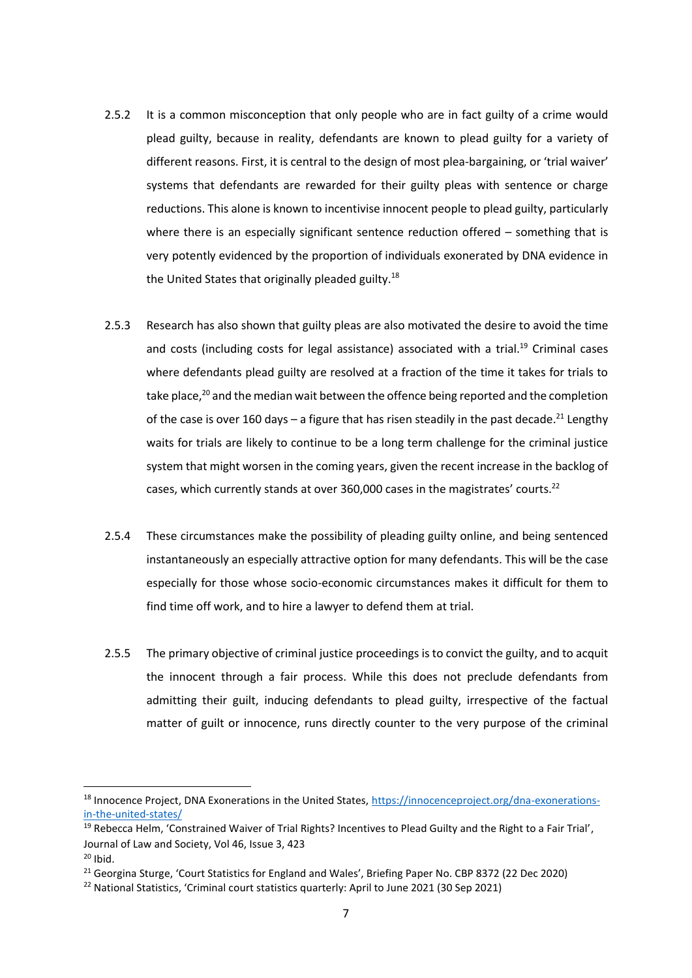- 2.5.2 It is a common misconception that only people who are in fact guilty of a crime would plead guilty, because in reality, defendants are known to plead guilty for a variety of different reasons. First, it is central to the design of most plea-bargaining, or 'trial waiver' systems that defendants are rewarded for their guilty pleas with sentence or charge reductions. This alone is known to incentivise innocent people to plead guilty, particularly where there is an especially significant sentence reduction offered – something that is very potently evidenced by the proportion of individuals exonerated by DNA evidence in the United States that originally pleaded guilty.<sup>18</sup>
- 2.5.3 Research has also shown that guilty pleas are also motivated the desire to avoid the time and costs (including costs for legal assistance) associated with a trial.<sup>19</sup> Criminal cases where defendants plead guilty are resolved at a fraction of the time it takes for trials to take place,<sup>20</sup> and the median wait between the offence being reported and the completion of the case is over 160 days – a figure that has risen steadily in the past decade.<sup>21</sup> Lengthy waits for trials are likely to continue to be a long term challenge for the criminal justice system that might worsen in the coming years, given the recent increase in the backlog of cases, which currently stands at over 360,000 cases in the magistrates' courts.<sup>22</sup>
- 2.5.4 These circumstances make the possibility of pleading guilty online, and being sentenced instantaneously an especially attractive option for many defendants. This will be the case especially for those whose socio-economic circumstances makes it difficult for them to find time off work, and to hire a lawyer to defend them at trial.
- 2.5.5 The primary objective of criminal justice proceedings is to convict the guilty, and to acquit the innocent through a fair process. While this does not preclude defendants from admitting their guilt, inducing defendants to plead guilty, irrespective of the factual matter of guilt or innocence, runs directly counter to the very purpose of the criminal

<sup>&</sup>lt;sup>18</sup> Innocence Project, DNA Exonerations in the United States, [https://innocenceproject.org/dna-exonerations](https://innocenceproject.org/dna-exonerations-in-the-united-states/)[in-the-united-states/](https://innocenceproject.org/dna-exonerations-in-the-united-states/)

<sup>&</sup>lt;sup>19</sup> Rebecca Helm, 'Constrained Waiver of Trial Rights? Incentives to Plead Guilty and the Right to a Fair Trial', Journal of Law and Society, Vol 46, Issue 3, 423

 $20$  Ibid.

<sup>&</sup>lt;sup>21</sup> Georgina Sturge, 'Court Statistics for England and Wales', Briefing Paper No. CBP 8372 (22 Dec 2020)

<sup>&</sup>lt;sup>22</sup> National Statistics, 'Criminal court statistics quarterly: April to June 2021 (30 Sep 2021)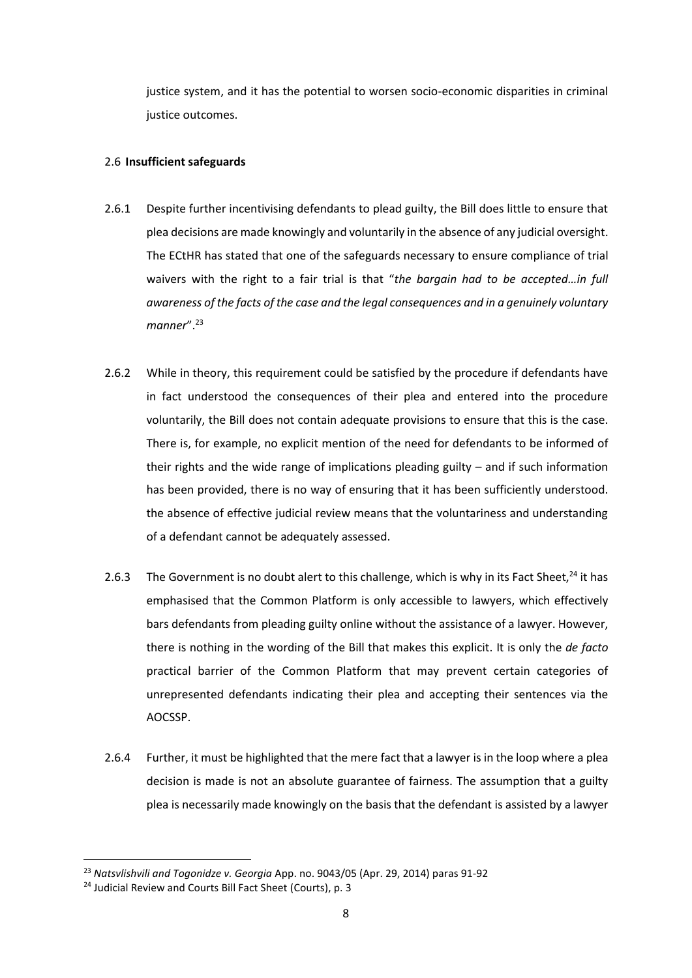justice system, and it has the potential to worsen socio-economic disparities in criminal justice outcomes.

## 2.6 **Insufficient safeguards**

- 2.6.1 Despite further incentivising defendants to plead guilty, the Bill does little to ensure that plea decisions are made knowingly and voluntarily in the absence of any judicial oversight. The ECtHR has stated that one of the safeguards necessary to ensure compliance of trial waivers with the right to a fair trial is that "*the bargain had to be accepted…in full awareness of the facts of the case and the legal consequences and in a genuinely voluntary manner*". 23
- 2.6.2 While in theory, this requirement could be satisfied by the procedure if defendants have in fact understood the consequences of their plea and entered into the procedure voluntarily, the Bill does not contain adequate provisions to ensure that this is the case. There is, for example, no explicit mention of the need for defendants to be informed of their rights and the wide range of implications pleading guilty – and if such information has been provided, there is no way of ensuring that it has been sufficiently understood. the absence of effective judicial review means that the voluntariness and understanding of a defendant cannot be adequately assessed.
- 2.6.3 The Government is no doubt alert to this challenge, which is why in its Fact Sheet,<sup>24</sup> it has emphasised that the Common Platform is only accessible to lawyers, which effectively bars defendants from pleading guilty online without the assistance of a lawyer. However, there is nothing in the wording of the Bill that makes this explicit. It is only the *de facto* practical barrier of the Common Platform that may prevent certain categories of unrepresented defendants indicating their plea and accepting their sentences via the AOCSSP.
- 2.6.4 Further, it must be highlighted that the mere fact that a lawyer is in the loop where a plea decision is made is not an absolute guarantee of fairness. The assumption that a guilty plea is necessarily made knowingly on the basis that the defendant is assisted by a lawyer

<sup>23</sup> *Natsvlishvili and Togonidze v. Georgia* App. no. 9043/05 (Apr. 29, 2014) paras 91-92

<sup>&</sup>lt;sup>24</sup> Judicial Review and Courts Bill Fact Sheet (Courts), p. 3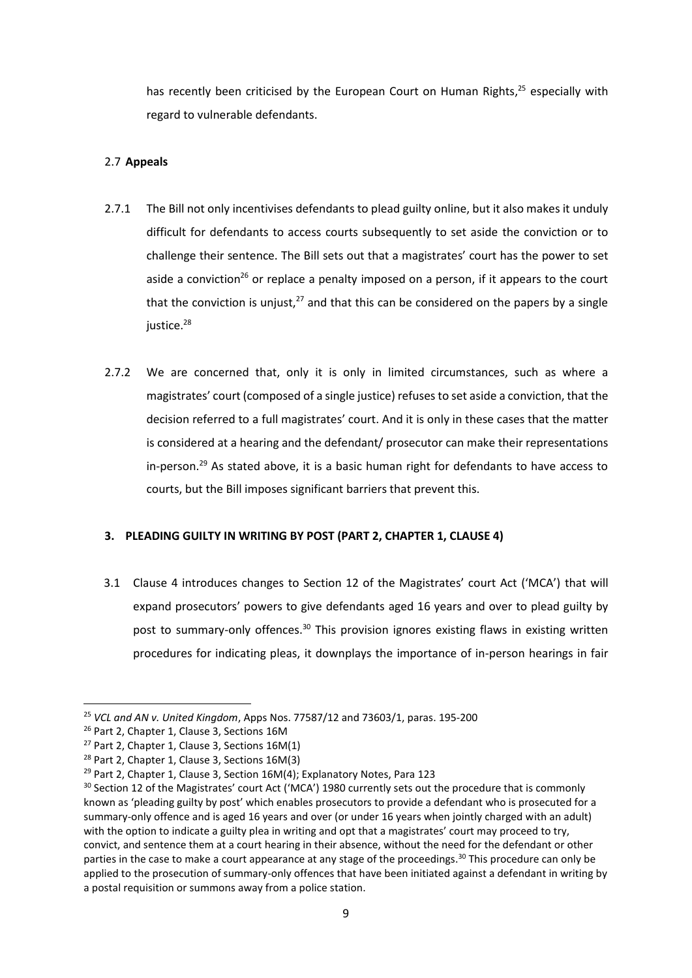has recently been criticised by the European Court on Human Rights,<sup>25</sup> especially with regard to vulnerable defendants.

# 2.7 **Appeals**

- 2.7.1 The Bill not only incentivises defendants to plead guilty online, but it also makes it unduly difficult for defendants to access courts subsequently to set aside the conviction or to challenge their sentence. The Bill sets out that a magistrates' court has the power to set aside a conviction<sup>26</sup> or replace a penalty imposed on a person, if it appears to the court that the conviction is unjust, $27$  and that this can be considered on the papers by a single justice. 28
- 2.7.2 We are concerned that, only it is only in limited circumstances, such as where a magistrates' court (composed of a single justice) refuses to set aside a conviction, that the decision referred to a full magistrates' court. And it is only in these cases that the matter is considered at a hearing and the defendant/ prosecutor can make their representations in-person.<sup>29</sup> As stated above, it is a basic human right for defendants to have access to courts, but the Bill imposes significant barriers that prevent this.

## **3. PLEADING GUILTY IN WRITING BY POST (PART 2, CHAPTER 1, CLAUSE 4)**

3.1 Clause 4 introduces changes to Section 12 of the Magistrates' court Act ('MCA') that will expand prosecutors' powers to give defendants aged 16 years and over to plead guilty by post to summary-only offences.<sup>30</sup> This provision ignores existing flaws in existing written procedures for indicating pleas, it downplays the importance of in-person hearings in fair

<sup>25</sup> *VCL and AN v. United Kingdom*, Apps Nos. 77587/12 and 73603/1, paras. 195-200

<sup>&</sup>lt;sup>26</sup> Part 2, Chapter 1, Clause 3, Sections 16M

 $27$  Part 2, Chapter 1, Clause 3, Sections 16M(1)

<sup>28</sup> Part 2, Chapter 1, Clause 3, Sections 16M(3)

<sup>&</sup>lt;sup>29</sup> Part 2, Chapter 1, Clause 3, Section  $16M(4)$ ; Explanatory Notes, Para 123

<sup>&</sup>lt;sup>30</sup> Section 12 of the Magistrates' court Act ('MCA') 1980 currently sets out the procedure that is commonly known as 'pleading guilty by post' which enables prosecutors to provide a defendant who is prosecuted for a summary-only offence and is aged 16 years and over (or under 16 years when jointly charged with an adult) with the option to indicate a guilty plea in writing and opt that a magistrates' court may proceed to try, convict, and sentence them at a court hearing in their absence, without the need for the defendant or other parties in the case to make a court appearance at any stage of the proceedings.<sup>30</sup> This procedure can only be applied to the prosecution of summary-only offences that have been initiated against a defendant in writing by a postal requisition or summons away from a police station.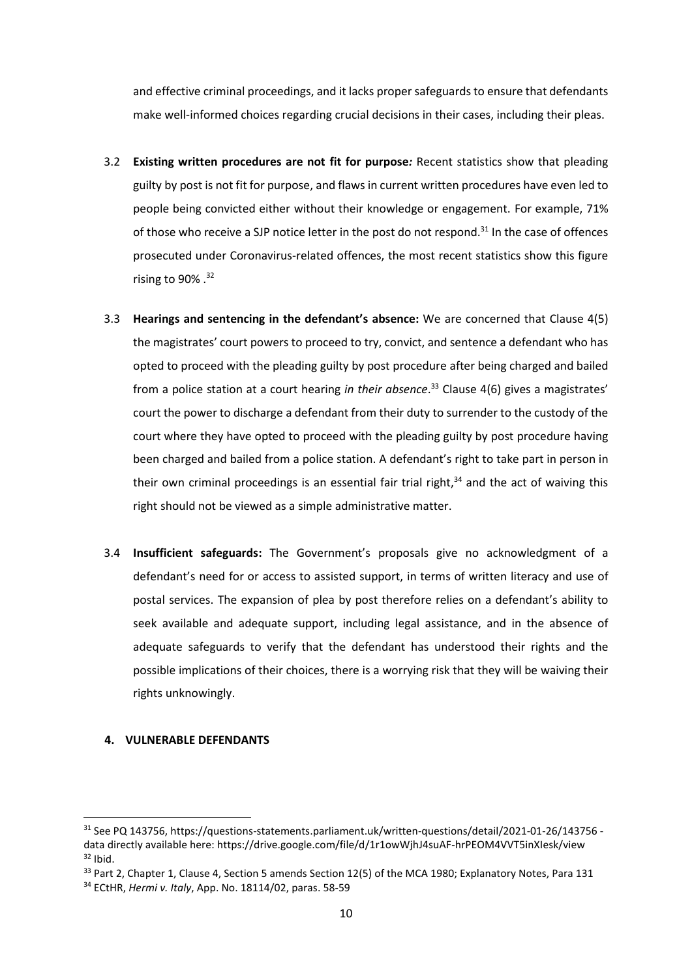and effective criminal proceedings, and it lacks proper safeguards to ensure that defendants make well-informed choices regarding crucial decisions in their cases, including their pleas.

- 3.2 **Existing written procedures are not fit for purpose***:* Recent statistics show that pleading guilty by post is not fit for purpose, and flaws in current written procedures have even led to people being convicted either without their knowledge or engagement. For example, 71% of those who receive a SJP notice letter in the post do not respond.<sup>31</sup> In the case of offences prosecuted under Coronavirus-related offences, the most recent statistics show this figure rising to 90% .<sup>32</sup>
- 3.3 **Hearings and sentencing in the defendant's absence:** We are concerned that Clause 4(5) the magistrates' court powers to proceed to try, convict, and sentence a defendant who has opted to proceed with the pleading guilty by post procedure after being charged and bailed from a police station at a court hearing *in their absence*. <sup>33</sup> Clause 4(6) gives a magistrates' court the power to discharge a defendant from their duty to surrender to the custody of the court where they have opted to proceed with the pleading guilty by post procedure having been charged and bailed from a police station. A defendant's right to take part in person in their own criminal proceedings is an essential fair trial right,<sup>34</sup> and the act of waiving this right should not be viewed as a simple administrative matter.
- 3.4 **Insufficient safeguards:** The Government's proposals give no acknowledgment of a defendant's need for or access to assisted support, in terms of written literacy and use of postal services. The expansion of plea by post therefore relies on a defendant's ability to seek available and adequate support, including legal assistance, and in the absence of adequate safeguards to verify that the defendant has understood their rights and the possible implications of their choices, there is a worrying risk that they will be waiving their rights unknowingly.

#### **4. VULNERABLE DEFENDANTS**

<sup>31</sup> See PQ 143756, https://questions-statements.parliament.uk/written-questions/detail/2021-01-26/143756 data directly available here: https://drive.google.com/file/d/1r1owWjhJ4suAF-hrPEOM4VVT5inXIesk/view  $32$  Ibid.

<sup>&</sup>lt;sup>33</sup> Part 2, Chapter 1, Clause 4, Section 5 amends Section 12(5) of the MCA 1980; Explanatory Notes, Para 131

<sup>34</sup> ECtHR, *Hermi v. Italy*, App. No. 18114/02, paras. 58-59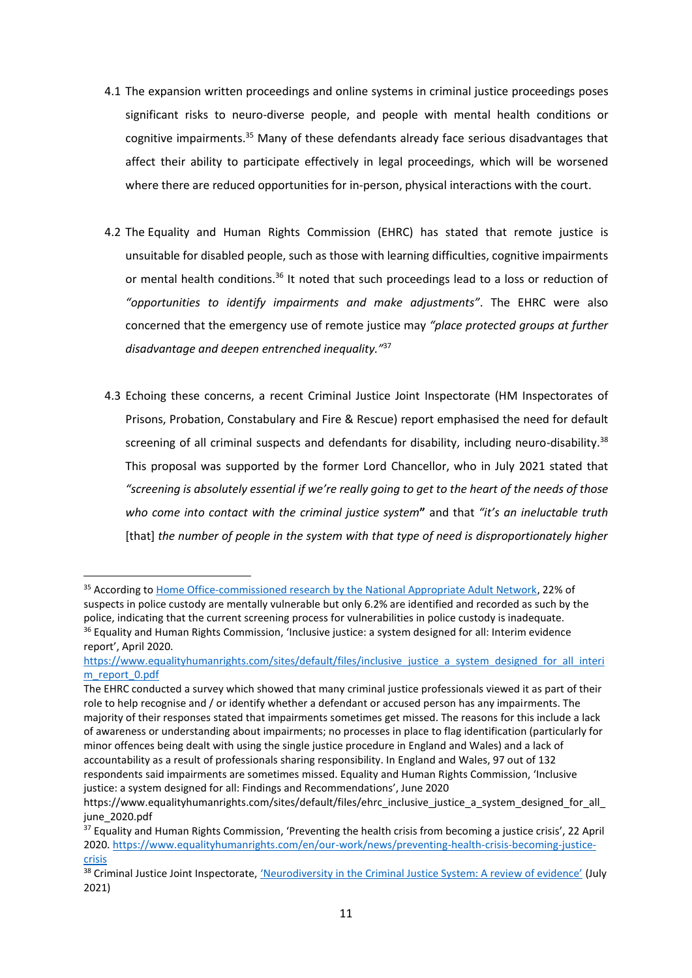- 4.1 The expansion written proceedings and online systems in criminal justice proceedings poses significant risks to neuro-diverse people, and people with mental health conditions or cognitive impairments. <sup>35</sup> Many of these defendants already face serious disadvantages that affect their ability to participate effectively in legal proceedings, which will be worsened where there are reduced opportunities for in-person, physical interactions with the court.
- 4.2 The Equality and Human Rights Commission (EHRC) has stated that remote justice is unsuitable for disabled people, such as those with learning difficulties, cognitive impairments or mental health conditions.<sup>36</sup> It noted that such proceedings lead to a loss or reduction of *"opportunities to identify impairments and make adjustments"*. The EHRC were also concerned that the emergency use of remote justice may *"place protected groups at further disadvantage and deepen entrenched inequality."*<sup>37</sup>
- 4.3 Echoing these concerns, a recent Criminal Justice Joint Inspectorate (HM Inspectorates of Prisons, Probation, Constabulary and Fire & Rescue) report emphasised the need for default screening of all criminal suspects and defendants for disability, including neuro-disability.<sup>38</sup> This proposal was supported by the former Lord Chancellor, who in July 2021 stated that *"screening is absolutely essential if we're really going to get to the heart of the needs of those who come into contact with the criminal justice system***"** and that *"it's an ineluctable truth*  [that] *the number of people in the system with that type of need is disproportionately higher*

<sup>&</sup>lt;sup>35</sup> According t[o Home Office-commissioned research by the National Appropriate Adult Network,](https://www.appropriateadult.org.uk/downloads/research?download=63:there-to-help-3-2020) 22% of suspects in police custody are mentally vulnerable but only 6.2% are identified and recorded as such by the police, indicating that the current screening process for vulnerabilities in police custody is inadequate. <sup>36</sup> Equality and Human Rights Commission, 'Inclusive justice: a system designed for all: Interim evidence report', April 2020.

[https://www.equalityhumanrights.com/sites/default/files/inclusive\\_justice\\_a\\_system\\_designed\\_for\\_all\\_interi](https://www.equalityhumanrights.com/sites/default/files/inclusive_justice_a_system_designed_for_all_interim_report_0.pdf) [m\\_report\\_0.pdf](https://www.equalityhumanrights.com/sites/default/files/inclusive_justice_a_system_designed_for_all_interim_report_0.pdf)

The EHRC conducted a survey which showed that many criminal justice professionals viewed it as part of their role to help recognise and / or identify whether a defendant or accused person has any impairments. The majority of their responses stated that impairments sometimes get missed. The reasons for this include a lack of awareness or understanding about impairments; no processes in place to flag identification (particularly for minor offences being dealt with using the single justice procedure in England and Wales) and a lack of accountability as a result of professionals sharing responsibility. In England and Wales, 97 out of 132 respondents said impairments are sometimes missed. Equality and Human Rights Commission, 'Inclusive justice: a system designed for all: Findings and Recommendations', June 2020

https://www.equalityhumanrights.com/sites/default/files/ehrc\_inclusive\_justice\_a\_system\_designed\_for\_all [june\\_2020.pdf](https://www.equalityhumanrights.com/sites/default/files/ehrc_inclusive_justice_a_system_designed_for_all_june_2020.pdf)

<sup>&</sup>lt;sup>37</sup> Equality and Human Rights Commission, 'Preventing the health crisis from becoming a justice crisis', 22 April 2020. [https://www.equalityhumanrights.com/en/our-work/news/preventing-health-crisis-becoming-justice](https://www.equalityhumanrights.com/en/our-work/news/preventing-health-crisis-becoming-justice-crisis)[crisis](https://www.equalityhumanrights.com/en/our-work/news/preventing-health-crisis-becoming-justice-crisis)

<sup>&</sup>lt;sup>38</sup> Criminal Justice Joint Inspectorate, ['Neurodiversity in the Criminal Justice System: A review of evidence'](https://www.justiceinspectorates.gov.uk/cjji/wp-content/uploads/sites/2/2021/07/Neurodiversity-evidence-review-web-2021.pdf) (July 2021)